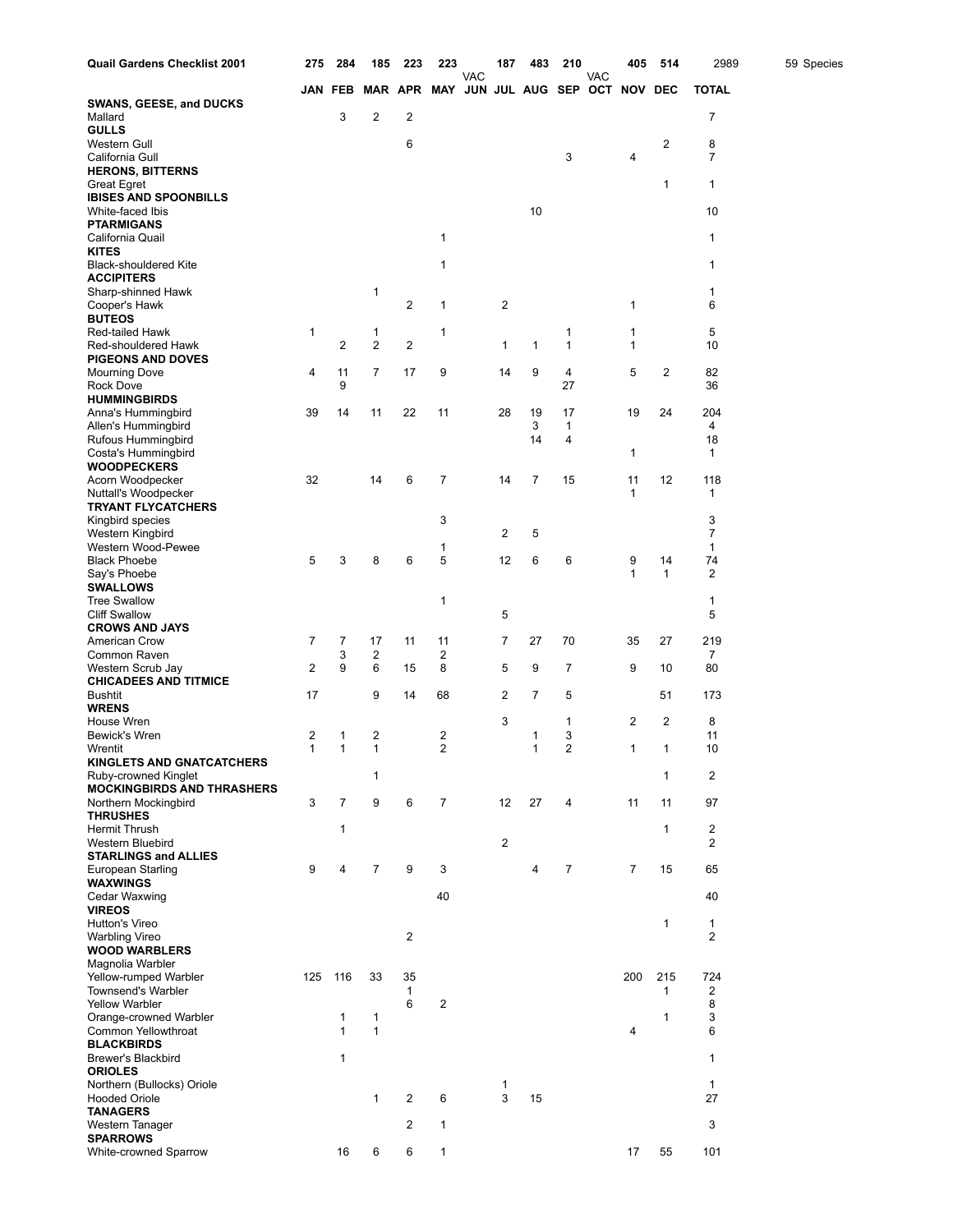| Quail Gardens Checklist 2001                              | 275 | 284            | 185                     | 223            | 223                                     |            | 187            | 483            | 210               |     | 405               | 514                | 2989                 | 59 Species |
|-----------------------------------------------------------|-----|----------------|-------------------------|----------------|-----------------------------------------|------------|----------------|----------------|-------------------|-----|-------------------|--------------------|----------------------|------------|
|                                                           |     | JAN FEB        |                         |                | MAR APR MAY JUN JUL AUG SEP OCT NOV DEC | <b>VAC</b> |                |                |                   | VAC |                   |                    | <b>TOTAL</b>         |            |
| <b>SWANS, GEESE, and DUCKS</b>                            |     |                |                         |                |                                         |            |                |                |                   |     |                   |                    |                      |            |
| Mallard<br><b>GULLS</b>                                   |     | 3              | $\overline{c}$          | 2              |                                         |            |                |                |                   |     |                   |                    | 7                    |            |
| Western Gull                                              |     |                |                         | 6              |                                         |            |                |                |                   |     |                   | 2                  | 8                    |            |
| California Gull                                           |     |                |                         |                |                                         |            |                |                | 3                 |     | 4                 |                    | 7                    |            |
| <b>HERONS, BITTERNS</b>                                   |     |                |                         |                |                                         |            |                |                |                   |     |                   | 1                  | $\mathbf{1}$         |            |
| <b>Great Egret</b><br><b>IBISES AND SPOONBILLS</b>        |     |                |                         |                |                                         |            |                |                |                   |     |                   |                    |                      |            |
| White-faced Ibis                                          |     |                |                         |                |                                         |            |                | 10             |                   |     |                   |                    | 10                   |            |
| <b>PTARMIGANS</b>                                         |     |                |                         |                | 1                                       |            |                |                |                   |     |                   |                    | $\mathbf{1}$         |            |
| California Quail<br><b>KITES</b>                          |     |                |                         |                |                                         |            |                |                |                   |     |                   |                    |                      |            |
| <b>Black-shouldered Kite</b>                              |     |                |                         |                | 1                                       |            |                |                |                   |     |                   |                    | 1                    |            |
| <b>ACCIPITERS</b>                                         |     |                | 1                       |                |                                         |            |                |                |                   |     |                   |                    | $\mathbf{1}$         |            |
| Sharp-shinned Hawk<br>Cooper's Hawk                       |     |                |                         | 2              | 1                                       |            | $\overline{2}$ |                |                   |     | 1                 |                    | 6                    |            |
| <b>BUTEOS</b>                                             |     |                |                         |                |                                         |            |                |                |                   |     |                   |                    |                      |            |
| Red-tailed Hawk                                           | 1   |                | 1                       |                | 1                                       |            |                | $\mathbf{1}$   | 1<br>$\mathbf{1}$ |     | 1                 |                    | 5                    |            |
| Red-shouldered Hawk<br><b>PIGEONS AND DOVES</b>           |     | 2              | $\overline{2}$          | 2              |                                         |            | 1              |                |                   |     | 1                 |                    | 10                   |            |
| <b>Mourning Dove</b>                                      | 4   | 11             | 7                       | 17             | 9                                       |            | 14             | 9              | $\overline{4}$    |     | 5                 | 2                  | 82                   |            |
| <b>Rock Dove</b>                                          |     | 9              |                         |                |                                         |            |                |                | 27                |     |                   |                    | 36                   |            |
| <b>HUMMINGBIRDS</b><br>Anna's Hummingbird                 | 39  | 14             | 11                      | 22             | 11                                      |            | 28             | 19             | 17                |     | 19                | 24                 | 204                  |            |
| Allen's Hummingbird                                       |     |                |                         |                |                                         |            |                | 3              | 1                 |     |                   |                    | 4                    |            |
| Rufous Hummingbird                                        |     |                |                         |                |                                         |            |                | 14             | 4                 |     |                   |                    | 18                   |            |
| Costa's Hummingbird<br><b>WOODPECKERS</b>                 |     |                |                         |                |                                         |            |                |                |                   |     | 1                 |                    | $\mathbf{1}$         |            |
| Acorn Woodpecker                                          | 32  |                | 14                      | 6              | 7                                       |            | 14             | $\overline{7}$ | 15                |     | 11                | 12                 | 118                  |            |
| Nuttall's Woodpecker                                      |     |                |                         |                |                                         |            |                |                |                   |     | $\mathbf{1}$      |                    | 1                    |            |
| <b>TRYANT FLYCATCHERS</b><br>Kingbird species             |     |                |                         |                | 3                                       |            |                |                |                   |     |                   |                    | 3                    |            |
| Western Kingbird                                          |     |                |                         |                |                                         |            | 2              | 5              |                   |     |                   |                    | $\overline{7}$       |            |
| Western Wood-Pewee                                        |     |                |                         |                | 1                                       |            |                |                |                   |     |                   |                    | $\mathbf{1}$         |            |
| <b>Black Phoebe</b><br>Say's Phoebe                       | 5   | 3              | 8                       | 6              | 5                                       |            | 12             | 6              | 6                 |     | 9<br>$\mathbf{1}$ | 14<br>$\mathbf{1}$ | 74<br>$\overline{2}$ |            |
| <b>SWALLOWS</b>                                           |     |                |                         |                |                                         |            |                |                |                   |     |                   |                    |                      |            |
| <b>Tree Swallow</b>                                       |     |                |                         |                | 1                                       |            |                |                |                   |     |                   |                    | 1                    |            |
| <b>Cliff Swallow</b><br><b>CROWS AND JAYS</b>             |     |                |                         |                |                                         |            | 5              |                |                   |     |                   |                    | 5                    |            |
| American Crow                                             | 7   | 7              | 17                      | 11             | 11                                      |            | 7              | 27             | 70                |     | 35                | 27                 | 219                  |            |
| Common Raven                                              |     | 3              | $\overline{\mathbf{c}}$ |                | 2                                       |            |                |                |                   |     |                   |                    | 7                    |            |
| Western Scrub Jay<br><b>CHICADEES AND TITMICE</b>         | 2   | 9              | 6                       | 15             | 8                                       |            | 5              | 9              | 7                 |     | 9                 | 10                 | 80                   |            |
| <b>Bushtit</b>                                            | 17  |                | 9                       | 14             | 68                                      |            | 2              | 7              | 5                 |     |                   | 51                 | 173                  |            |
| <b>WRENS</b>                                              |     |                |                         |                |                                         |            |                |                |                   |     |                   |                    |                      |            |
| House Wren<br>Bewick's Wren                               | 2   | 1              | $\overline{c}$          |                | $\overline{\mathbf{c}}$                 |            | 3              | 1              | 1<br>3            |     | 2                 | 2                  | 8<br>11              |            |
| Wrentit                                                   | 1   | 1              | $\mathbf{1}$            |                | $\overline{2}$                          |            |                | $\mathbf{1}$   | $\overline{2}$    |     | 1                 | 1                  | 10                   |            |
| <b>KINGLETS AND GNATCATCHERS</b>                          |     |                |                         |                |                                         |            |                |                |                   |     |                   |                    |                      |            |
| Ruby-crowned Kinglet<br><b>MOCKINGBIRDS AND THRASHERS</b> |     |                | 1                       |                |                                         |            |                |                |                   |     |                   | $\mathbf{1}$       | 2                    |            |
| Northern Mockingbird                                      | 3   | $\overline{7}$ | 9                       | 6              | $\overline{7}$                          |            | 12             | 27             | 4                 |     | 11                | 11                 | 97                   |            |
| <b>THRUSHES</b>                                           |     |                |                         |                |                                         |            |                |                |                   |     |                   |                    |                      |            |
| <b>Hermit Thrush</b><br>Western Bluebird                  |     | 1              |                         |                |                                         |            | $\overline{2}$ |                |                   |     |                   | 1                  | 2<br>2               |            |
| <b>STARLINGS and ALLIES</b>                               |     |                |                         |                |                                         |            |                |                |                   |     |                   |                    |                      |            |
| European Starling                                         | 9   | 4              | $\overline{7}$          | 9              | 3                                       |            |                | 4              | $\overline{7}$    |     | $\overline{7}$    | 15                 | 65                   |            |
| <b>WAXWINGS</b><br>Cedar Waxwing                          |     |                |                         |                | 40                                      |            |                |                |                   |     |                   |                    | 40                   |            |
| <b>VIREOS</b>                                             |     |                |                         |                |                                         |            |                |                |                   |     |                   |                    |                      |            |
| Hutton's Vireo                                            |     |                |                         |                |                                         |            |                |                |                   |     |                   | $\mathbf{1}$       | 1                    |            |
| <b>Warbling Vireo</b><br><b>WOOD WARBLERS</b>             |     |                |                         | $\overline{2}$ |                                         |            |                |                |                   |     |                   |                    | 2                    |            |
| Magnolia Warbler                                          |     |                |                         |                |                                         |            |                |                |                   |     |                   |                    |                      |            |
| Yellow-rumped Warbler                                     | 125 | 116            | 33                      | 35             |                                         |            |                |                |                   |     | 200               | 215                | 724                  |            |
| Townsend's Warbler<br><b>Yellow Warbler</b>               |     |                |                         | 1<br>6         | $\overline{\mathbf{c}}$                 |            |                |                |                   |     |                   | $\mathbf{1}$       | 2<br>8               |            |
| Orange-crowned Warbler                                    |     | 1              | $\mathbf{1}$            |                |                                         |            |                |                |                   |     |                   | 1                  | 3                    |            |
| Common Yellowthroat                                       |     | 1              | $\mathbf{1}$            |                |                                         |            |                |                |                   |     | 4                 |                    | 6                    |            |
| <b>BLACKBIRDS</b><br>Brewer's Blackbird                   |     | 1              |                         |                |                                         |            |                |                |                   |     |                   |                    | $\mathbf{1}$         |            |
| <b>ORIOLES</b>                                            |     |                |                         |                |                                         |            |                |                |                   |     |                   |                    |                      |            |
| Northern (Bullocks) Oriole                                |     |                |                         |                |                                         |            | 1              |                |                   |     |                   |                    | $\mathbf{1}$         |            |
| <b>Hooded Oriole</b><br><b>TANAGERS</b>                   |     |                | $\mathbf{1}$            | 2              | 6                                       |            | 3              | 15             |                   |     |                   |                    | 27                   |            |
| Western Tanager                                           |     |                |                         | 2              | 1                                       |            |                |                |                   |     |                   |                    | 3                    |            |
| <b>SPARROWS</b>                                           |     |                |                         |                |                                         |            |                |                |                   |     |                   |                    |                      |            |
| White-crowned Sparrow                                     |     | 16             | 6                       | 6              | 1                                       |            |                |                |                   |     | 17                | 55                 | 101                  |            |